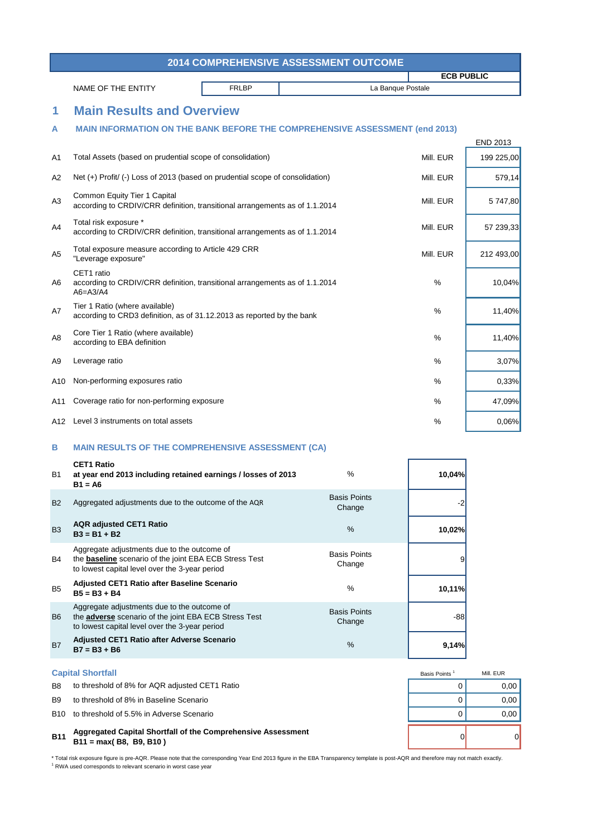\* Total risk exposure figure is pre-AQR. Please note that the corresponding Year End 2013 figure in the EBA Transparency template is post-AQR and therefore may not match exactly. <sup>1</sup> RWA used corresponds to relevant scenario in worst case year



| <b>2014 COMPREHENSIVE ASSESSMENT OUTCOME</b> |                                                                                                                                                                |              |                               |                   |                 |  |  |
|----------------------------------------------|----------------------------------------------------------------------------------------------------------------------------------------------------------------|--------------|-------------------------------|-------------------|-----------------|--|--|
|                                              |                                                                                                                                                                |              |                               | <b>ECB PUBLIC</b> |                 |  |  |
|                                              | NAME OF THE ENTITY                                                                                                                                             | <b>FRLBP</b> |                               | La Banque Postale |                 |  |  |
| 1                                            | <b>Main Results and Overview</b>                                                                                                                               |              |                               |                   |                 |  |  |
| A                                            | <b>MAIN INFORMATION ON THE BANK BEFORE THE COMPREHENSIVE ASSESSMENT (end 2013)</b>                                                                             |              |                               |                   |                 |  |  |
|                                              |                                                                                                                                                                |              |                               |                   | <b>END 2013</b> |  |  |
| A1                                           | Total Assets (based on prudential scope of consolidation)                                                                                                      |              |                               | Mill. EUR         | 199 225,00      |  |  |
| A2                                           | Net (+) Profit/ (-) Loss of 2013 (based on prudential scope of consolidation)                                                                                  |              |                               | Mill. EUR         | 579,14          |  |  |
| A3                                           | <b>Common Equity Tier 1 Capital</b><br>according to CRDIV/CRR definition, transitional arrangements as of 1.1.2014                                             |              |                               |                   | 5 747,80        |  |  |
| A4                                           | Total risk exposure *<br>according to CRDIV/CRR definition, transitional arrangements as of 1.1.2014                                                           |              |                               | Mill. EUR         | 57 239,33       |  |  |
| A <sub>5</sub>                               | Total exposure measure according to Article 429 CRR<br>"Leverage exposure"                                                                                     |              |                               | Mill. EUR         | 212 493,00      |  |  |
| A6                                           | CET1 ratio<br>according to CRDIV/CRR definition, transitional arrangements as of 1.1.2014<br>$A6 = A3/A4$                                                      |              |                               | $\frac{0}{0}$     | 10,04%          |  |  |
| A7                                           | Tier 1 Ratio (where available)<br>according to CRD3 definition, as of 31.12.2013 as reported by the bank                                                       |              |                               | $\%$              | 11,40%          |  |  |
| A <sub>8</sub>                               | Core Tier 1 Ratio (where available)<br>according to EBA definition                                                                                             |              |                               | $\frac{0}{0}$     | 11,40%          |  |  |
| A <sub>9</sub>                               | Leverage ratio                                                                                                                                                 |              |                               | $\%$              | 3,07%           |  |  |
| A10                                          | Non-performing exposures ratio                                                                                                                                 |              |                               | $\frac{0}{0}$     | 0,33%           |  |  |
| A11                                          | Coverage ratio for non-performing exposure                                                                                                                     |              |                               | $\%$              | 47,09%          |  |  |
|                                              | A12 Level 3 instruments on total assets                                                                                                                        |              |                               | $\%$              | 0,06%           |  |  |
| B                                            | <b>MAIN RESULTS OF THE COMPREHENSIVE ASSESSMENT (CA)</b>                                                                                                       |              |                               |                   |                 |  |  |
| <b>B1</b>                                    | <b>CET1 Ratio</b><br>at year end 2013 including retained earnings / losses of 2013<br>$B1 = A6$                                                                |              | $\frac{0}{0}$                 | 10,04%            |                 |  |  |
| <b>B2</b>                                    | Aggregated adjustments due to the outcome of the AQR                                                                                                           |              | <b>Basis Points</b><br>Change | $-2$              |                 |  |  |
| <b>B3</b>                                    | <b>AQR adjusted CET1 Ratio</b><br>$B3 = B1 + B2$                                                                                                               |              | $\frac{0}{0}$                 | 10,02%            |                 |  |  |
| B4                                           | Aggregate adjustments due to the outcome of<br>the <b>baseline</b> scenario of the joint EBA ECB Stress Test<br>to lowest capital level over the 3-year period |              | <b>Basis Points</b><br>Change | 9                 |                 |  |  |
| B <sub>5</sub>                               | Adjusted CET1 Ratio after Baseline Scenario<br>$B5 = B3 + B4$                                                                                                  |              | $\frac{0}{0}$                 | 10,11%            |                 |  |  |
| B <sub>6</sub>                               | Aggregate adjustments due to the outcome of<br>the <b>adverse</b> scenario of the joint EBA ECB Stress Test<br>to lowest capital level over the 3-year period  |              | <b>Basis Points</b><br>Change | $-88$             |                 |  |  |

## B7 **9,14% Adjusted CET1 Ratio after Adverse Scenario B7 = B3 + B6** %

## **B11** 0 0 **Aggregated Capital Shortfall of the Comprehensive Assessment B11 = max( B8, B9, B10 )**

## **Capital Shortfall**

- B8 to threshold of 8% for AQR adjusted CET1 Ratio **EXAMPLE 10 CONSTRESS CONSTRESS OF A CONSTRESS CONSTRESS CONSTR**
- B9 to threshold of 8% in Baseline Scenario and the state of the state of the state of the state of the state of the state of the state of the state of the state of the state of the state of the state of the state of the st
- B10 to threshold of 5.5% in Adverse Scenario and the state of the state of the state of the state of the state of the state of the state of the state of the state of the state of the state of the state of the state of the